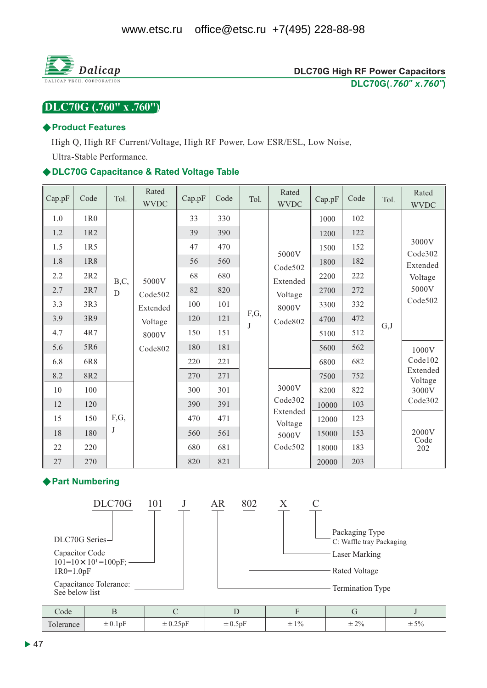

## DLC70G (.760" x .760")

#### ♦ Product Features

High Q, High RF Current/Voltage, High RF Power, Low ESR/ESL, Low Noise,

Ultra-Stable Performance.

#### ◆DLC70G Capacitance & Rated Voltage Table

| Cap.pF                                  | Code                                          | Tol.        | Rated<br><b>WVDC</b>                                        | Cap.pF                                        | Code                                          | Tol.            | Rated<br><b>WVDC</b>                                                                                                       | Cap.pF                                                    | Code                                          | Tol.                                             | Rated<br><b>WVDC</b>                                |
|-----------------------------------------|-----------------------------------------------|-------------|-------------------------------------------------------------|-----------------------------------------------|-----------------------------------------------|-----------------|----------------------------------------------------------------------------------------------------------------------------|-----------------------------------------------------------|-----------------------------------------------|--------------------------------------------------|-----------------------------------------------------|
| 1.0<br>1.2<br>1.5<br>1.8<br>2.2         | 1R0<br>1R2<br>1R5<br>1R8<br>2R2               | B,C,        | 5000V<br>Code502<br>Extended<br>Voltage<br>8000V<br>Code802 | 33<br>39<br>47<br>56<br>68                    | 330<br>390<br>470<br>560<br>680               |                 | 5000V<br>Code502<br>Extended<br>Voltage<br>8000V<br>Code802<br>3000V<br>Code302<br>Extended<br>Voltage<br>5000V<br>Code502 | 1000<br>1200<br>1500<br>1800<br>2200                      | 102<br>122<br>152<br>182<br>222               |                                                  | 3000V<br>Code302<br>Extended<br>Voltage             |
| 2.7<br>3.3<br>3.9<br>4.7<br>5.6<br>6.8  | 2R7<br>3R3<br>3R9<br>4R7<br>5R6<br>6R8        | $\mathbf D$ |                                                             | 82<br>100<br>120<br>150<br>180<br>220         | 820<br>101<br>121<br>151<br>181<br>221        | F,G,<br>$\bf J$ |                                                                                                                            | 2700<br>3300<br>4700<br>5100<br>5600<br>6800              | 272<br>332<br>472<br>G,J<br>512<br>562<br>682 | 5000V<br>Code502<br>1000V<br>Code102<br>Extended |                                                     |
| 8.2<br>10<br>12<br>15<br>18<br>22<br>27 | 8R2<br>100<br>120<br>150<br>180<br>220<br>270 | F,G,<br>J   |                                                             | 270<br>300<br>390<br>470<br>560<br>680<br>820 | 271<br>301<br>391<br>471<br>561<br>681<br>821 |                 |                                                                                                                            | 7500<br>8200<br>10000<br>12000<br>15000<br>18000<br>20000 | 752<br>822<br>103<br>123<br>153<br>183<br>203 |                                                  | Voltage<br>3000V<br>Code302<br>2000V<br>Code<br>202 |

#### ♦ Part Numbering

 $\pm 0.1$ pF

 $\pm 0.25$ pF



 $\pm 0.5$ pF

 $\pm 1\%$ 

 $\pm 2\%$ 

 $\pm 5\%$ 

Tolerance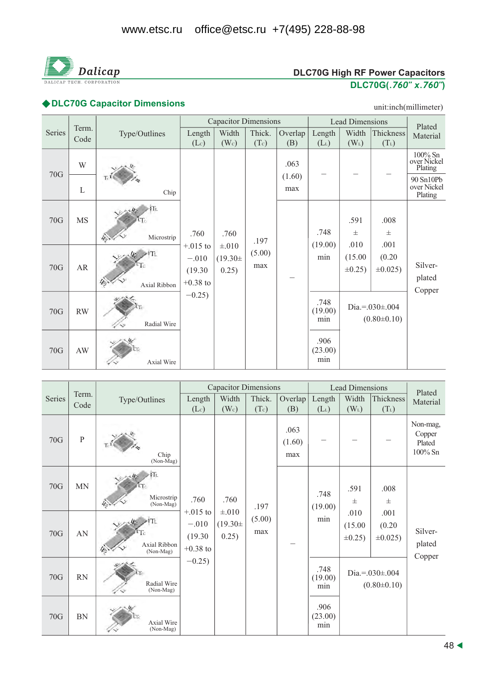

# **DLC70G High RF Power Capacitors** DLC70G(.760" x.760")

# ◆DLC70G Capacitor Dimensions and the contract of the contract of the contract of the contract of the contract of the contract of the contract of the contract of the contract of the contract of the contract of the contract

unit:inch(millimeter)

|        |               |                           |                                                                   | <b>Capacitor Dimensions</b>                 |                       |                |                                | <b>Lead Dimensions</b>  |                                          | Plated                              |
|--------|---------------|---------------------------|-------------------------------------------------------------------|---------------------------------------------|-----------------------|----------------|--------------------------------|-------------------------|------------------------------------------|-------------------------------------|
| Series | Term.<br>Code | Type/Outlines             | Length<br>(Lc)                                                    | Width<br>(W <sub>c</sub> )                  | Thick.<br>(Tc)        | Overlap<br>(B) | Length<br>$(L_L)$              | Width<br>$(W_L)$        | Thickness<br>$(T_L)$                     | Material                            |
|        | W             |                           |                                                                   |                                             |                       | .063           |                                |                         |                                          | 100% Sn<br>over Nickel<br>Plating   |
| 70G    | L             | Chip                      | .760<br>$+.015$ to<br>$-.010$<br>(19.30)<br>$+0.38$ to<br>$-0.25$ | .760<br>$\pm .010$<br>$(19.30 \pm$<br>0.25) | .197<br>(5.00)<br>max | (1.60)<br>max  |                                |                         |                                          | 90 Sn10Pb<br>over Nickel<br>Plating |
| 70G    | <b>MS</b>     | Microstrip                |                                                                   |                                             |                       |                | .748<br>(19.00)                | .591<br>士<br>.010       | .008<br>$_{\pm}$<br>.001                 |                                     |
| 70G    | ${\sf AR}$    | ۲T۱<br>ľс<br>Axial Ribbon |                                                                   |                                             |                       |                | (15.00)<br>min<br>$\pm 0.25$ ) | (0.20)<br>$\pm 0.025$ ) | Silver-<br>plated<br>Copper              |                                     |
| 70G    | RW            | Radial Wire               |                                                                   |                                             |                       |                | .748<br>(19.00)<br>min         |                         | Dia.=. $030\pm.004$<br>$(0.80 \pm 0.10)$ |                                     |
| 70G    | AW            | Axial Wire                |                                                                   |                                             |                       |                | .906<br>(23.00)<br>min         |                         |                                          |                                     |

|        |               |                           |                                                                     | <b>Capacitor Dimensions</b>                 |                       |                       |                        | <b>Lead Dimensions</b>                   |                                 | Plated                                  |
|--------|---------------|---------------------------|---------------------------------------------------------------------|---------------------------------------------|-----------------------|-----------------------|------------------------|------------------------------------------|---------------------------------|-----------------------------------------|
| Series | Term.<br>Code | Type/Outlines             | Length<br>(Lc)                                                      | Width<br>(W <sub>c</sub> )                  | Thick.<br>(Tc)        | Overlap<br>(B)        | Length<br>$(L_L)$      | Width<br>$(W_L)$                         | Thickness<br>$(T_L)$            | Material                                |
| 70G    | $\mathbf{P}$  | Chip<br>$(Non-Mag)$       | .760<br>$+.015$ to<br>$-.010$<br>(19.30)<br>$+0.38$ to<br>$-0.25$ ) | .760<br>$\pm .010$<br>$(19.30 \pm$<br>0.25) | .197<br>(5.00)<br>max | .063<br>(1.60)<br>max |                        |                                          |                                 | Non-mag,<br>Copper<br>Plated<br>100% Sn |
| 70G    | <b>MN</b>     | Microstrip<br>(Non-Mag)   |                                                                     |                                             |                       |                       | .748<br>(19.00)<br>min | .591<br>士                                | .008<br>$\pm$                   | Silver-<br>plated<br>Copper             |
| 70G    | AN            | Axial Ribbon<br>(Non-Mag) |                                                                     |                                             |                       |                       |                        | .010<br>(15.00)<br>$\pm 0.25$ )          | .001<br>(0.20)<br>$\pm 0.025$ ) |                                         |
| 70G    | RN            | Radial Wire<br>(Non-Mag)  |                                                                     |                                             |                       |                       | .748<br>(19.00)<br>min | Dia.=. $030\pm.004$<br>$(0.80 \pm 0.10)$ |                                 |                                         |
| 70G    | BN            | Axial Wire<br>(Non-Mag)   |                                                                     |                                             |                       |                       | .906<br>(23.00)<br>min |                                          |                                 |                                         |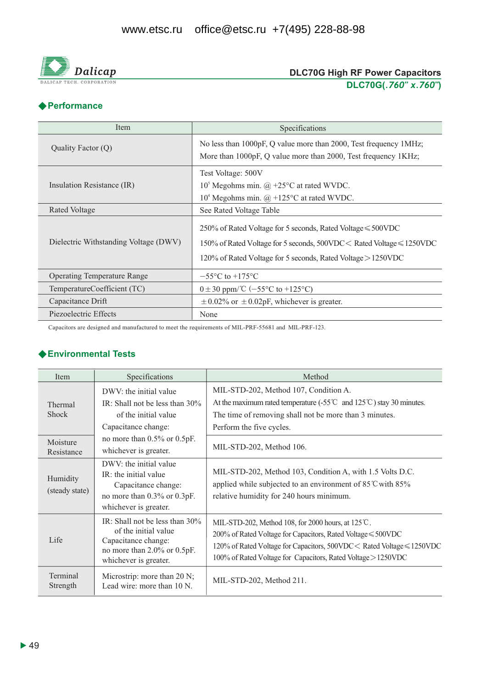

## **DLC70G High RF Power Capacitors** DLC70G(.760" x.760")

#### ◆ Performance

| Item                                  | Specifications                                                                                                                                                                                             |
|---------------------------------------|------------------------------------------------------------------------------------------------------------------------------------------------------------------------------------------------------------|
| Quality Factor (Q)                    | No less than 1000pF, Q value more than 2000, Test frequency 1MHz;<br>More than 1000pF, Q value more than 2000, Test frequency 1KHz;                                                                        |
| Insulation Resistance (IR)            | Test Voltage: 500V<br>$105$ Megohms min. @ +25°C at rated WVDC.<br>$104$ Megohms min. @ +125°C at rated WVDC.                                                                                              |
| Rated Voltage                         | See Rated Voltage Table                                                                                                                                                                                    |
| Dielectric Withstanding Voltage (DWV) | 250% of Rated Voltage for 5 seconds, Rated Voltage $\leq 500$ VDC<br>150% of Rated Voltage for 5 seconds, 500VDC < Rated Voltage ≤ 1250VDC<br>120% of Rated Voltage for 5 seconds, Rated Voltage > 1250VDC |
| <b>Operating Temperature Range</b>    | $-55^{\circ}$ C to $+175^{\circ}$ C                                                                                                                                                                        |
| TemperatureCoefficient (TC)           | $0 \pm 30$ ppm/°C (-55°C to +125°C)                                                                                                                                                                        |
| Capacitance Drift                     | $\pm$ 0.02% or $\pm$ 0.02pF, whichever is greater.                                                                                                                                                         |
| Piezoelectric Effects                 | None                                                                                                                                                                                                       |

Capacitors are designed and manufactured to meet the requirements of MIL-PRF-55681 and MIL-PRF-123.

#### ◆ Environmental Tests

| Item                       | Specifications                                                                                                                                 | Method                                                                                                                                                                                                                                                                 |
|----------------------------|------------------------------------------------------------------------------------------------------------------------------------------------|------------------------------------------------------------------------------------------------------------------------------------------------------------------------------------------------------------------------------------------------------------------------|
| Thermal<br><b>Shock</b>    | DWV: the initial value<br>IR: Shall not be less than $30\%$<br>of the initial value<br>Capacitance change:                                     | MIL-STD-202, Method 107, Condition A.<br>At the maximum rated temperature $(-55^{\circ}\text{C} \text{ and } 125^{\circ}\text{C})$ stay 30 minutes.<br>The time of removing shall not be more than 3 minutes.<br>Perform the five cycles.                              |
| Moisture<br>Resistance     | no more than $0.5\%$ or $0.5pF$ .<br>whichever is greater.                                                                                     | MIL-STD-202, Method 106.                                                                                                                                                                                                                                               |
| Humidity<br>(steady state) | DWV: the initial value<br>IR: the initial value<br>Capacitance change:<br>no more than 0.3% or 0.3pF.<br>whichever is greater.                 | MIL-STD-202, Method 103, Condition A, with 1.5 Volts D.C.<br>applied while subjected to an environment of 85 °C with 85%<br>relative humidity for 240 hours minimum.                                                                                                   |
| Life                       | IR: Shall not be less than $30\%$<br>of the initial value<br>Capacitance change:<br>no more than $2.0\%$ or $0.5pF$ .<br>whichever is greater. | MIL-STD-202, Method 108, for 2000 hours, at 125°C.<br>$200\%$ of Rated Voltage for Capacitors, Rated Voltage $\leq 500$ VDC<br>120% of Rated Voltage for Capacitors, 500VDC < Rated Voltage ≤ 1250VDC<br>100% of Rated Voltage for Capacitors, Rated Voltage > 1250VDC |
| Terminal<br>Strength       | Microstrip: more than 20 N;<br>Lead wire: more than 10 N.                                                                                      | MIL-STD-202, Method 211.                                                                                                                                                                                                                                               |